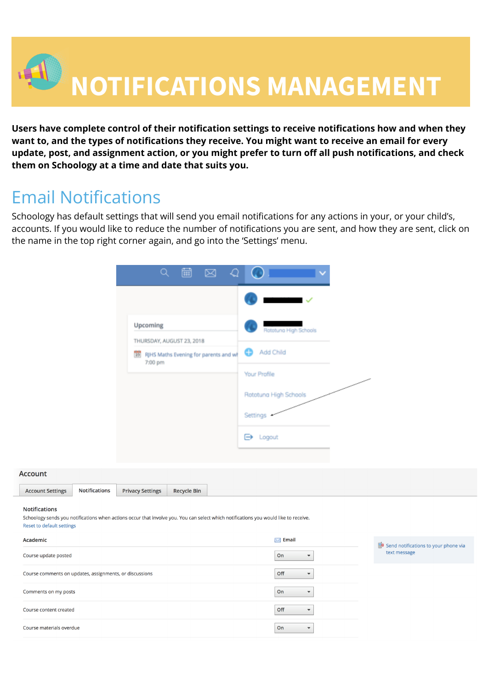

**Users have complete control of their notification settings to receive notifications how and when they want to, and the types of notifications they receive. You might want to receive an email for every update, post, and assignment action, or you might prefer to turn off all push notifications, and check them on Schoology at a time and date that suits you.**

# Email Notifications

Schoology has default settings that will send you email notifications for any actions in your, or your child's, accounts. If you would like to reduce the number of notifications you are sent, and how they are sent, click on the name in the top right corner again, and go into the 'Settings' menu.

| Upcoming                                                                                         | Rototuna High Schools |
|--------------------------------------------------------------------------------------------------|-----------------------|
| THURSDAY, AUGUST 23, 2018<br>$\overline{22}$<br>RJHS Maths Evening for parents and wf<br>7:00 pm | Add Child<br>Ð        |
|                                                                                                  | Your Profile          |
|                                                                                                  | Rototuna High Schools |
|                                                                                                  | Settings              |
|                                                                                                  | ⊖<br>Logout           |

| Account                 |               |                         |             |
|-------------------------|---------------|-------------------------|-------------|
| <b>Account Settings</b> | Notifications | <b>Privacy Settings</b> | Recycle Bin |
| Natifications           |               |                         |             |

#### **Notification**

Schoology sends you notifications when actions occur that involve you. You can select which notifications you would like to receive. **Reset to default settings** 

| Academic                                                | $\blacksquare$ Email            | Send notifications to your phone via |
|---------------------------------------------------------|---------------------------------|--------------------------------------|
| Course update posted                                    | On<br>$\overline{\phantom{a}}$  | text message                         |
| Course comments on updates, assignments, or discussions | Off<br>$\overline{\phantom{a}}$ |                                      |
| Comments on my posts                                    | On<br>$\blacktriangledown$      |                                      |
| Course content created                                  | Off<br>$\overline{\phantom{a}}$ |                                      |
| Course materials overdue                                | On<br>$\blacktriangledown$      |                                      |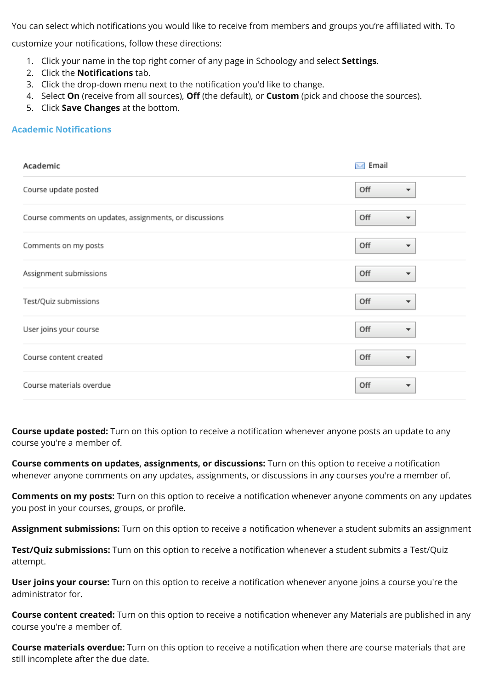You can select which notifications you would like to receive from members and groups you're affiliated with. To

customize your notifications, follow these directions:

- 1. Click your name in the top right corner of any page in Schoology and select **Settings**.
- 2. Click the **Notifications** tab.
- 3. Click the drop-down menu next to the notification you'd like to change.
- 4. Select **On** (receive from all sources), **Off** (the default), or **Custom** (pick and choose the sources).
- 5. Click **Save Changes** at the bottom.

### **Academic Notifications**

| Academic                                                | Email<br>$\mathbb{Z}$           |
|---------------------------------------------------------|---------------------------------|
| Course update posted                                    | Off<br>▼                        |
| Course comments on updates, assignments, or discussions | Off<br>▼                        |
| Comments on my posts                                    | Off<br>$\overline{\phantom{a}}$ |
| Assignment submissions                                  | Off<br>▼                        |
| Test/Quiz submissions                                   | Off<br>▼                        |
| User joins your course                                  | Off<br>▼                        |
| Course content created                                  | Off<br>▼                        |
| Course materials overdue                                | Off<br>▼                        |

**Course update posted:** Turn on this option to receive a notification whenever anyone posts an update to any course you're a member of.

**Course comments on updates, assignments, or discussions:** Turn on this option to receive a notification whenever anyone comments on any updates, assignments, or discussions in any courses you're a member of.

**Comments on my posts:** Turn on this option to receive a notification whenever anyone comments on any updates you post in your courses, groups, or profile.

**Assignment submissions:** Turn on this option to receive a notification whenever a student submits an assignment

**Test/Quiz submissions:** Turn on this option to receive a notification whenever a student submits a Test/Quiz attempt.

**User joins your course:** Turn on this option to receive a notification whenever anyone joins a course you're the administrator for.

**Course content created:** Turn on this option to receive a notification whenever any Materials are published in any course you're a member of.

**Course materials overdue:** Turn on this option to receive a notification when there are course materials that are still incomplete after the due date.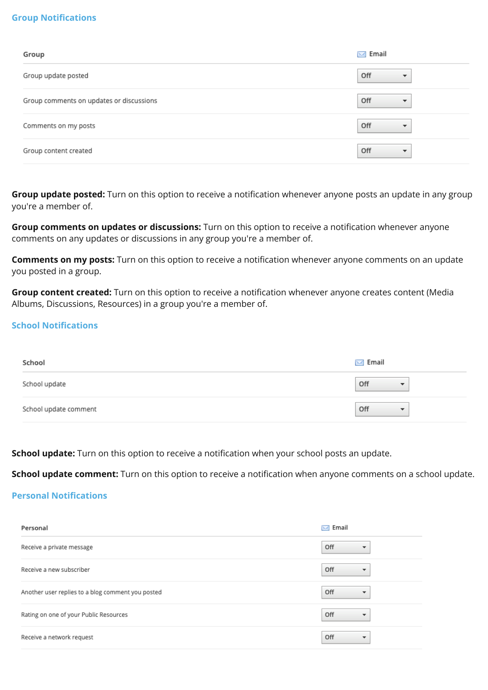### **Group Notifications**

| Group                                    | $\bowtie$ Email                 |
|------------------------------------------|---------------------------------|
| Group update posted                      | Off<br>▼                        |
| Group comments on updates or discussions | Off<br>$\overline{\phantom{a}}$ |
| Comments on my posts                     | Off<br>$\overline{\phantom{a}}$ |
| Group content created                    | Off<br>$\overline{\phantom{a}}$ |

**Group update posted:** Turn on this option to receive a notification whenever anyone posts an update in any group you're a member of.

**Group comments on updates or discussions:** Turn on this option to receive a notification whenever anyone comments on any updates or discussions in any group you're a member of.

**Comments on my posts:** Turn on this option to receive a notification whenever anyone comments on an update you posted in a group.

**Group content created:** Turn on this option to receive a notification whenever anyone creates content (Media Albums, Discussions, Resources) in a group you're a member of.

### **School Notifications**

| School                | $\bowtie$ Email                 |
|-----------------------|---------------------------------|
| School update         | Off<br>$\overline{\phantom{a}}$ |
| School update comment | Off<br>$\overline{\phantom{a}}$ |

**School update:** Turn on this option to receive a notification when your school posts an update.

**School update comment:** Turn on this option to receive a notification when anyone comments on a school update.

#### **Personal Notifications**

| Personal                                          | Email<br>$\mathbb{X}$           |
|---------------------------------------------------|---------------------------------|
| Receive a private message                         | Off<br>▼                        |
| Receive a new subscriber                          | Off<br>$\overline{\phantom{a}}$ |
| Another user replies to a blog comment you posted | Off<br>$\overline{\phantom{a}}$ |
| Rating on one of your Public Resources            | Off<br>$\overline{\phantom{a}}$ |
| Receive a network request                         | Off<br>▼                        |